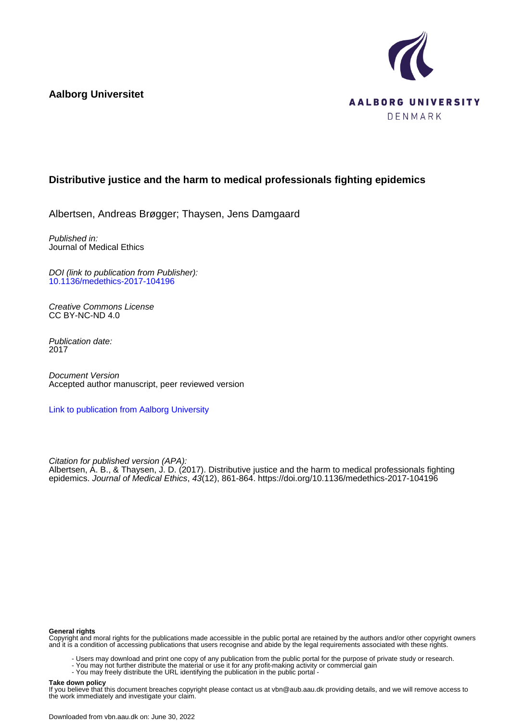**Aalborg Universitet**



# **Distributive justice and the harm to medical professionals fighting epidemics**

Albertsen, Andreas Brøgger; Thaysen, Jens Damgaard

Published in: Journal of Medical Ethics

DOI (link to publication from Publisher): [10.1136/medethics-2017-104196](https://doi.org/10.1136/medethics-2017-104196)

Creative Commons License CC BY-NC-ND 4.0

Publication date: 2017

Document Version Accepted author manuscript, peer reviewed version

[Link to publication from Aalborg University](https://vbn.aau.dk/en/publications/ac612264-37f7-458c-84f5-07d56a83fa66)

Citation for published version (APA):

Albertsen, A. B., & Thaysen, J. D. (2017). Distributive justice and the harm to medical professionals fighting epidemics. Journal of Medical Ethics, 43(12), 861-864. <https://doi.org/10.1136/medethics-2017-104196>

#### **General rights**

Copyright and moral rights for the publications made accessible in the public portal are retained by the authors and/or other copyright owners and it is a condition of accessing publications that users recognise and abide by the legal requirements associated with these rights.

- Users may download and print one copy of any publication from the public portal for the purpose of private study or research.
- You may not further distribute the material or use it for any profit-making activity or commercial gain
	- You may freely distribute the URL identifying the publication in the public portal -

#### **Take down policy**

If you believe that this document breaches copyright please contact us at vbn@aub.aau.dk providing details, and we will remove access to the work immediately and investigate your claim.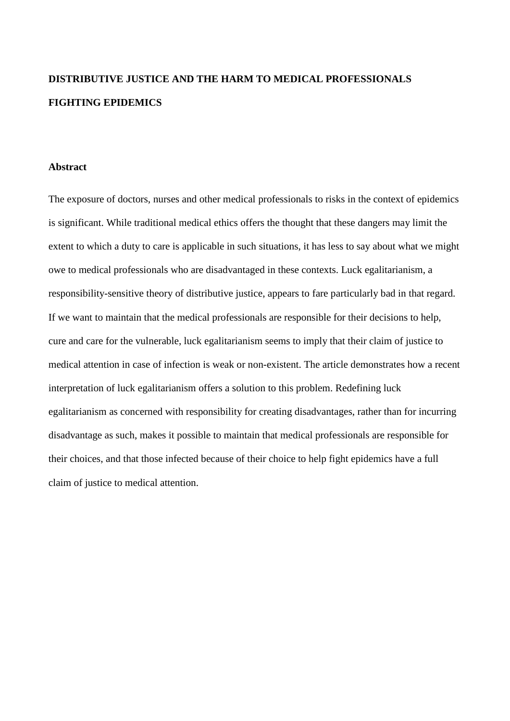# **DISTRIBUTIVE JUSTICE AND THE HARM TO MEDICAL PROFESSIONALS FIGHTING EPIDEMICS**

# **Abstract**

The exposure of doctors, nurses and other medical professionals to risks in the context of epidemics is significant. While traditional medical ethics offers the thought that these dangers may limit the extent to which a duty to care is applicable in such situations, it has less to say about what we might owe to medical professionals who are disadvantaged in these contexts. Luck egalitarianism, a responsibility-sensitive theory of distributive justice, appears to fare particularly bad in that regard. If we want to maintain that the medical professionals are responsible for their decisions to help, cure and care for the vulnerable, luck egalitarianism seems to imply that their claim of justice to medical attention in case of infection is weak or non-existent. The article demonstrates how a recent interpretation of luck egalitarianism offers a solution to this problem. Redefining luck egalitarianism as concerned with responsibility for creating disadvantages, rather than for incurring disadvantage as such, makes it possible to maintain that medical professionals are responsible for their choices, and that those infected because of their choice to help fight epidemics have a full claim of justice to medical attention.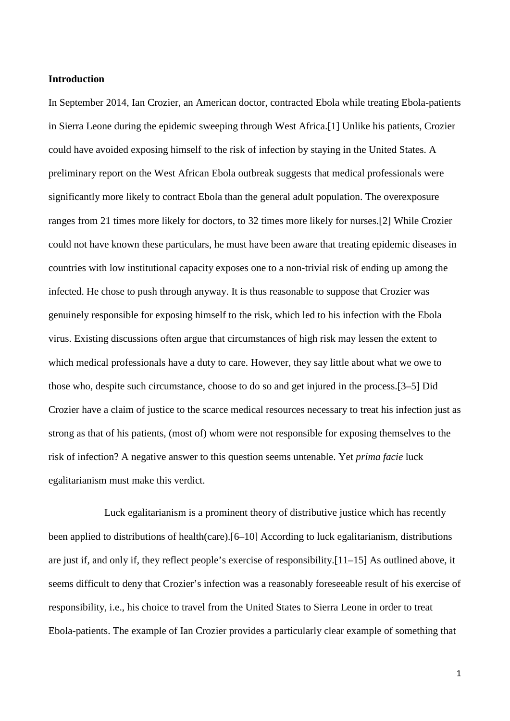## **Introduction**

In September 2014, Ian Crozier, an American doctor, contracted Ebola while treating Ebola-patients in Sierra Leone during the epidemic sweeping through West Africa.[1] Unlike his patients, Crozier could have avoided exposing himself to the risk of infection by staying in the United States. A preliminary report on the West African Ebola outbreak suggests that medical professionals were significantly more likely to contract Ebola than the general adult population. The overexposure ranges from 21 times more likely for doctors, to 32 times more likely for nurses.[2] While Crozier could not have known these particulars, he must have been aware that treating epidemic diseases in countries with low institutional capacity exposes one to a non-trivial risk of ending up among the infected. He chose to push through anyway. It is thus reasonable to suppose that Crozier was genuinely responsible for exposing himself to the risk, which led to his infection with the Ebola virus. Existing discussions often argue that circumstances of high risk may lessen the extent to which medical professionals have a duty to care. However, they say little about what we owe to those who, despite such circumstance, choose to do so and get injured in the process.[3–5] Did Crozier have a claim of justice to the scarce medical resources necessary to treat his infection just as strong as that of his patients, (most of) whom were not responsible for exposing themselves to the risk of infection? A negative answer to this question seems untenable. Yet *prima facie* luck egalitarianism must make this verdict.

Luck egalitarianism is a prominent theory of distributive justice which has recently been applied to distributions of health(care).[6–10] According to luck egalitarianism, distributions are just if, and only if, they reflect people's exercise of responsibility.[11–15] As outlined above, it seems difficult to deny that Crozier's infection was a reasonably foreseeable result of his exercise of responsibility, i.e., his choice to travel from the United States to Sierra Leone in order to treat Ebola-patients. The example of Ian Crozier provides a particularly clear example of something that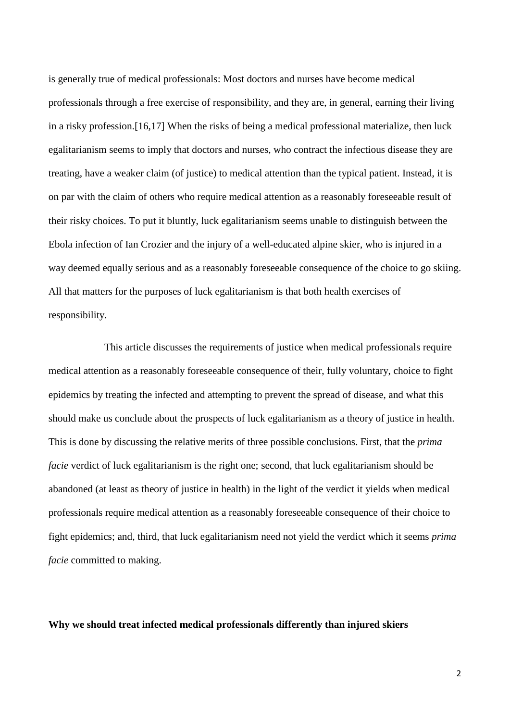is generally true of medical professionals: Most doctors and nurses have become medical professionals through a free exercise of responsibility, and they are, in general, earning their living in a risky profession.[16,17] When the risks of being a medical professional materialize, then luck egalitarianism seems to imply that doctors and nurses, who contract the infectious disease they are treating, have a weaker claim (of justice) to medical attention than the typical patient. Instead, it is on par with the claim of others who require medical attention as a reasonably foreseeable result of their risky choices. To put it bluntly, luck egalitarianism seems unable to distinguish between the Ebola infection of Ian Crozier and the injury of a well-educated alpine skier, who is injured in a way deemed equally serious and as a reasonably foreseeable consequence of the choice to go skiing. All that matters for the purposes of luck egalitarianism is that both health exercises of responsibility.

This article discusses the requirements of justice when medical professionals require medical attention as a reasonably foreseeable consequence of their, fully voluntary, choice to fight epidemics by treating the infected and attempting to prevent the spread of disease, and what this should make us conclude about the prospects of luck egalitarianism as a theory of justice in health. This is done by discussing the relative merits of three possible conclusions. First, that the *prima facie* verdict of luck egalitarianism is the right one; second, that luck egalitarianism should be abandoned (at least as theory of justice in health) in the light of the verdict it yields when medical professionals require medical attention as a reasonably foreseeable consequence of their choice to fight epidemics; and, third, that luck egalitarianism need not yield the verdict which it seems *prima facie* committed to making.

## **Why we should treat infected medical professionals differently than injured skiers**

2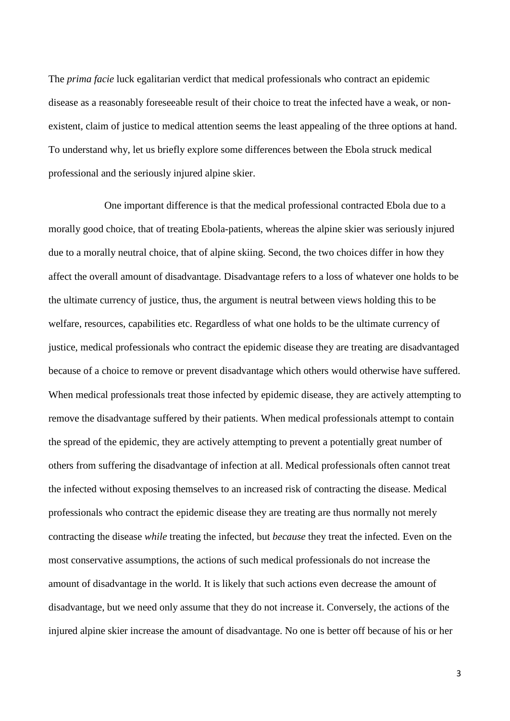The *prima facie* luck egalitarian verdict that medical professionals who contract an epidemic disease as a reasonably foreseeable result of their choice to treat the infected have a weak, or nonexistent, claim of justice to medical attention seems the least appealing of the three options at hand. To understand why, let us briefly explore some differences between the Ebola struck medical professional and the seriously injured alpine skier.

One important difference is that the medical professional contracted Ebola due to a morally good choice, that of treating Ebola-patients, whereas the alpine skier was seriously injured due to a morally neutral choice, that of alpine skiing. Second, the two choices differ in how they affect the overall amount of disadvantage. Disadvantage refers to a loss of whatever one holds to be the ultimate currency of justice, thus, the argument is neutral between views holding this to be welfare, resources, capabilities etc. Regardless of what one holds to be the ultimate currency of justice, medical professionals who contract the epidemic disease they are treating are disadvantaged because of a choice to remove or prevent disadvantage which others would otherwise have suffered. When medical professionals treat those infected by epidemic disease, they are actively attempting to remove the disadvantage suffered by their patients. When medical professionals attempt to contain the spread of the epidemic, they are actively attempting to prevent a potentially great number of others from suffering the disadvantage of infection at all. Medical professionals often cannot treat the infected without exposing themselves to an increased risk of contracting the disease. Medical professionals who contract the epidemic disease they are treating are thus normally not merely contracting the disease *while* treating the infected, but *because* they treat the infected. Even on the most conservative assumptions, the actions of such medical professionals do not increase the amount of disadvantage in the world. It is likely that such actions even decrease the amount of disadvantage, but we need only assume that they do not increase it. Conversely, the actions of the injured alpine skier increase the amount of disadvantage. No one is better off because of his or her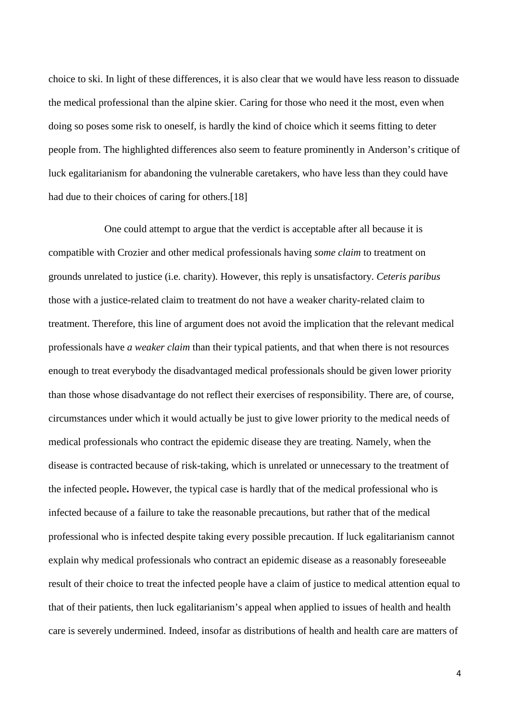choice to ski. In light of these differences, it is also clear that we would have less reason to dissuade the medical professional than the alpine skier. Caring for those who need it the most, even when doing so poses some risk to oneself, is hardly the kind of choice which it seems fitting to deter people from. The highlighted differences also seem to feature prominently in Anderson's critique of luck egalitarianism for abandoning the vulnerable caretakers, who have less than they could have had due to their choices of caring for others.<sup>[18]</sup>

One could attempt to argue that the verdict is acceptable after all because it is compatible with Crozier and other medical professionals having *some claim* to treatment on grounds unrelated to justice (i.e. charity). However, this reply is unsatisfactory. *Ceteris paribus* those with a justice-related claim to treatment do not have a weaker charity-related claim to treatment. Therefore, this line of argument does not avoid the implication that the relevant medical professionals have *a weaker claim* than their typical patients, and that when there is not resources enough to treat everybody the disadvantaged medical professionals should be given lower priority than those whose disadvantage do not reflect their exercises of responsibility. There are, of course, circumstances under which it would actually be just to give lower priority to the medical needs of medical professionals who contract the epidemic disease they are treating. Namely, when the disease is contracted because of risk-taking, which is unrelated or unnecessary to the treatment of the infected people**.** However, the typical case is hardly that of the medical professional who is infected because of a failure to take the reasonable precautions, but rather that of the medical professional who is infected despite taking every possible precaution. If luck egalitarianism cannot explain why medical professionals who contract an epidemic disease as a reasonably foreseeable result of their choice to treat the infected people have a claim of justice to medical attention equal to that of their patients, then luck egalitarianism's appeal when applied to issues of health and health care is severely undermined. Indeed, insofar as distributions of health and health care are matters of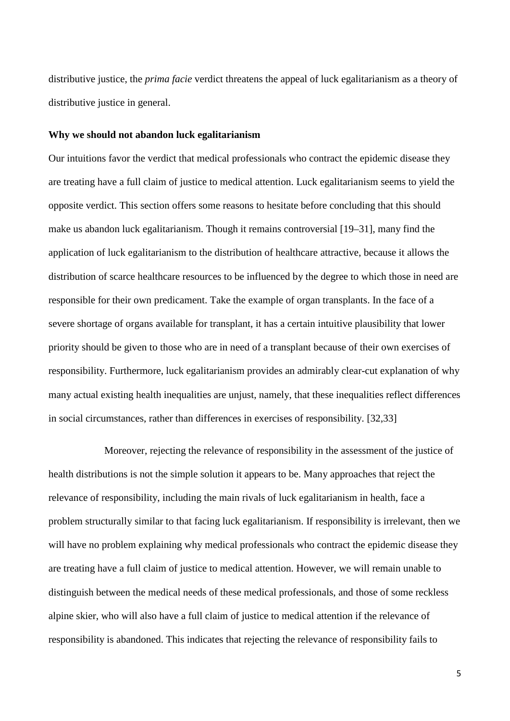distributive justice, the *prima facie* verdict threatens the appeal of luck egalitarianism as a theory of distributive justice in general.

#### **Why we should not abandon luck egalitarianism**

Our intuitions favor the verdict that medical professionals who contract the epidemic disease they are treating have a full claim of justice to medical attention. Luck egalitarianism seems to yield the opposite verdict. This section offers some reasons to hesitate before concluding that this should make us abandon luck egalitarianism. Though it remains controversial [19–31], many find the application of luck egalitarianism to the distribution of healthcare attractive, because it allows the distribution of scarce healthcare resources to be influenced by the degree to which those in need are responsible for their own predicament. Take the example of organ transplants. In the face of a severe shortage of organs available for transplant, it has a certain intuitive plausibility that lower priority should be given to those who are in need of a transplant because of their own exercises of responsibility. Furthermore, luck egalitarianism provides an admirably clear-cut explanation of why many actual existing health inequalities are unjust, namely, that these inequalities reflect differences in social circumstances, rather than differences in exercises of responsibility. [32,33]

Moreover, rejecting the relevance of responsibility in the assessment of the justice of health distributions is not the simple solution it appears to be. Many approaches that reject the relevance of responsibility, including the main rivals of luck egalitarianism in health, face a problem structurally similar to that facing luck egalitarianism. If responsibility is irrelevant, then we will have no problem explaining why medical professionals who contract the epidemic disease they are treating have a full claim of justice to medical attention. However, we will remain unable to distinguish between the medical needs of these medical professionals, and those of some reckless alpine skier, who will also have a full claim of justice to medical attention if the relevance of responsibility is abandoned. This indicates that rejecting the relevance of responsibility fails to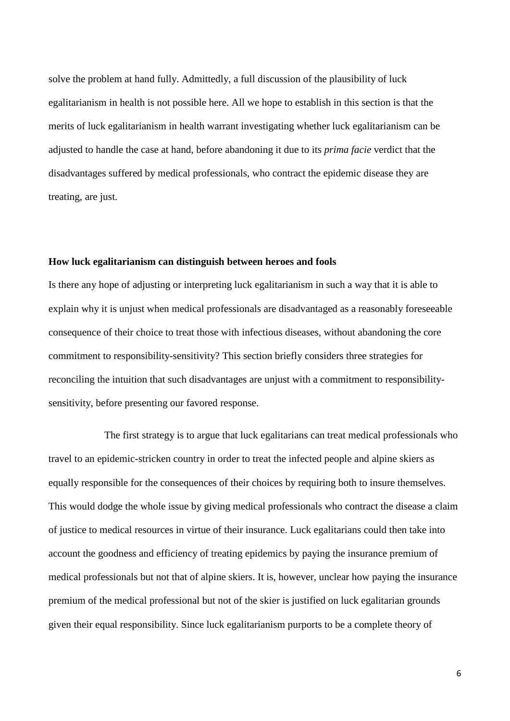solve the problem at hand fully. Admittedly, a full discussion of the plausibility of luck egalitarianism in health is not possible here. All we hope to establish in this section is that the merits of luck egalitarianism in health warrant investigating whether luck egalitarianism can be adjusted to handle the case at hand, before abandoning it due to its *prima facie* verdict that the disadvantages suffered by medical professionals, who contract the epidemic disease they are treating, are just.

#### **How luck egalitarianism can distinguish between heroes and fools**

Is there any hope of adjusting or interpreting luck egalitarianism in such a way that it is able to explain why it is unjust when medical professionals are disadvantaged as a reasonably foreseeable consequence of their choice to treat those with infectious diseases, without abandoning the core commitment to responsibility-sensitivity? This section briefly considers three strategies for reconciling the intuition that such disadvantages are unjust with a commitment to responsibilitysensitivity, before presenting our favored response.

The first strategy is to argue that luck egalitarians can treat medical professionals who travel to an epidemic-stricken country in order to treat the infected people and alpine skiers as equally responsible for the consequences of their choices by requiring both to insure themselves. This would dodge the whole issue by giving medical professionals who contract the disease a claim of justice to medical resources in virtue of their insurance. Luck egalitarians could then take into account the goodness and efficiency of treating epidemics by paying the insurance premium of medical professionals but not that of alpine skiers. It is, however, unclear how paying the insurance premium of the medical professional but not of the skier is justified on luck egalitarian grounds given their equal responsibility. Since luck egalitarianism purports to be a complete theory of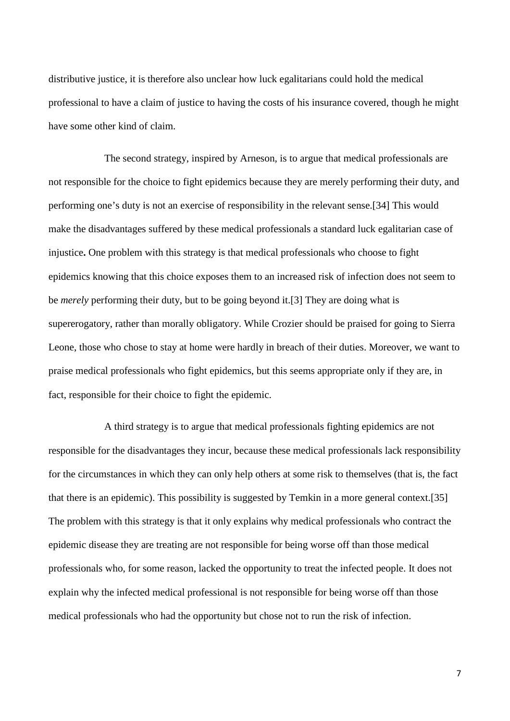distributive justice, it is therefore also unclear how luck egalitarians could hold the medical professional to have a claim of justice to having the costs of his insurance covered, though he might have some other kind of claim.

The second strategy, inspired by Arneson, is to argue that medical professionals are not responsible for the choice to fight epidemics because they are merely performing their duty, and performing one's duty is not an exercise of responsibility in the relevant sense.[34] This would make the disadvantages suffered by these medical professionals a standard luck egalitarian case of injustice**.** One problem with this strategy is that medical professionals who choose to fight epidemics knowing that this choice exposes them to an increased risk of infection does not seem to be *merely* performing their duty, but to be going beyond it.[3] They are doing what is supererogatory, rather than morally obligatory. While Crozier should be praised for going to Sierra Leone, those who chose to stay at home were hardly in breach of their duties. Moreover, we want to praise medical professionals who fight epidemics, but this seems appropriate only if they are, in fact, responsible for their choice to fight the epidemic.

A third strategy is to argue that medical professionals fighting epidemics are not responsible for the disadvantages they incur, because these medical professionals lack responsibility for the circumstances in which they can only help others at some risk to themselves (that is, the fact that there is an epidemic). This possibility is suggested by Temkin in a more general context.[35] The problem with this strategy is that it only explains why medical professionals who contract the epidemic disease they are treating are not responsible for being worse off than those medical professionals who, for some reason, lacked the opportunity to treat the infected people. It does not explain why the infected medical professional is not responsible for being worse off than those medical professionals who had the opportunity but chose not to run the risk of infection.

7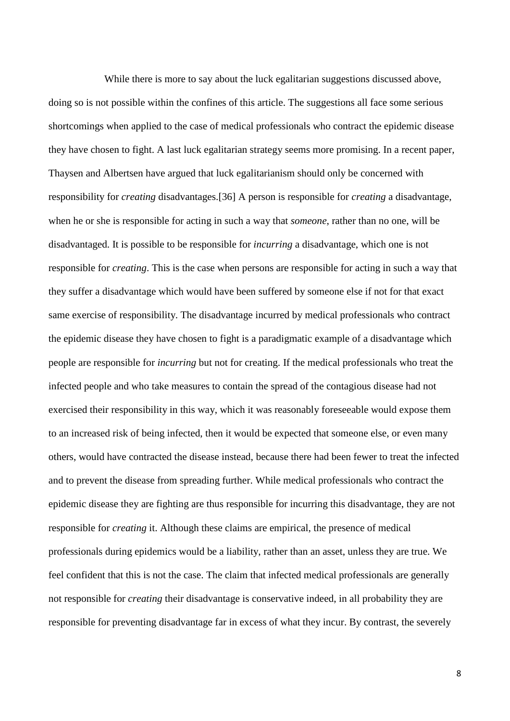While there is more to say about the luck egalitarian suggestions discussed above, doing so is not possible within the confines of this article. The suggestions all face some serious shortcomings when applied to the case of medical professionals who contract the epidemic disease they have chosen to fight. A last luck egalitarian strategy seems more promising. In a recent paper, Thaysen and Albertsen have argued that luck egalitarianism should only be concerned with responsibility for *creating* disadvantages.[36] A person is responsible for *creating* a disadvantage, when he or she is responsible for acting in such a way that *someone*, rather than no one, will be disadvantaged. It is possible to be responsible for *incurring* a disadvantage, which one is not responsible for *creating*. This is the case when persons are responsible for acting in such a way that they suffer a disadvantage which would have been suffered by someone else if not for that exact same exercise of responsibility. The disadvantage incurred by medical professionals who contract the epidemic disease they have chosen to fight is a paradigmatic example of a disadvantage which people are responsible for *incurring* but not for creating. If the medical professionals who treat the infected people and who take measures to contain the spread of the contagious disease had not exercised their responsibility in this way, which it was reasonably foreseeable would expose them to an increased risk of being infected, then it would be expected that someone else, or even many others, would have contracted the disease instead, because there had been fewer to treat the infected and to prevent the disease from spreading further. While medical professionals who contract the epidemic disease they are fighting are thus responsible for incurring this disadvantage, they are not responsible for *creating* it. Although these claims are empirical, the presence of medical professionals during epidemics would be a liability, rather than an asset, unless they are true. We feel confident that this is not the case. The claim that infected medical professionals are generally not responsible for *creating* their disadvantage is conservative indeed, in all probability they are responsible for preventing disadvantage far in excess of what they incur. By contrast, the severely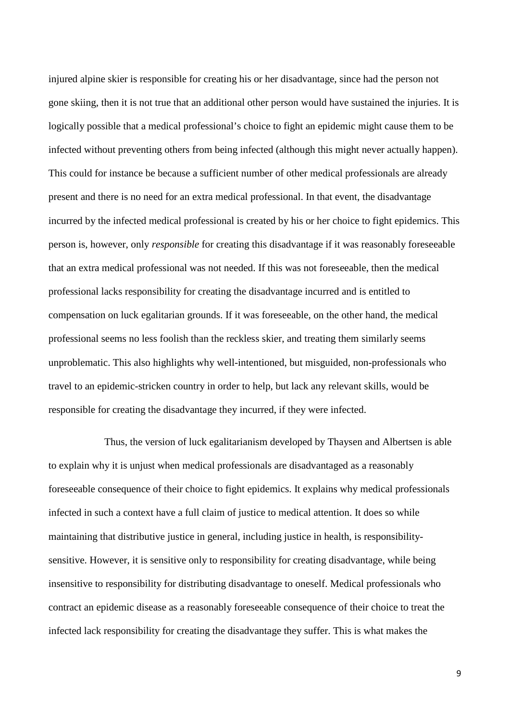injured alpine skier is responsible for creating his or her disadvantage, since had the person not gone skiing, then it is not true that an additional other person would have sustained the injuries. It is logically possible that a medical professional's choice to fight an epidemic might cause them to be infected without preventing others from being infected (although this might never actually happen). This could for instance be because a sufficient number of other medical professionals are already present and there is no need for an extra medical professional. In that event, the disadvantage incurred by the infected medical professional is created by his or her choice to fight epidemics. This person is, however, only *responsible* for creating this disadvantage if it was reasonably foreseeable that an extra medical professional was not needed. If this was not foreseeable, then the medical professional lacks responsibility for creating the disadvantage incurred and is entitled to compensation on luck egalitarian grounds. If it was foreseeable, on the other hand, the medical professional seems no less foolish than the reckless skier, and treating them similarly seems unproblematic. This also highlights why well-intentioned, but misguided, non-professionals who travel to an epidemic-stricken country in order to help, but lack any relevant skills, would be responsible for creating the disadvantage they incurred, if they were infected.

Thus, the version of luck egalitarianism developed by Thaysen and Albertsen is able to explain why it is unjust when medical professionals are disadvantaged as a reasonably foreseeable consequence of their choice to fight epidemics. It explains why medical professionals infected in such a context have a full claim of justice to medical attention. It does so while maintaining that distributive justice in general, including justice in health, is responsibilitysensitive. However, it is sensitive only to responsibility for creating disadvantage, while being insensitive to responsibility for distributing disadvantage to oneself. Medical professionals who contract an epidemic disease as a reasonably foreseeable consequence of their choice to treat the infected lack responsibility for creating the disadvantage they suffer. This is what makes the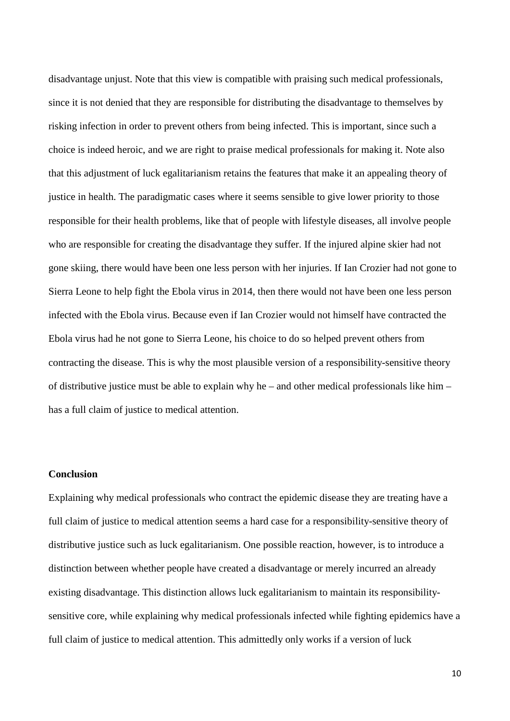disadvantage unjust. Note that this view is compatible with praising such medical professionals, since it is not denied that they are responsible for distributing the disadvantage to themselves by risking infection in order to prevent others from being infected. This is important, since such a choice is indeed heroic, and we are right to praise medical professionals for making it. Note also that this adjustment of luck egalitarianism retains the features that make it an appealing theory of justice in health. The paradigmatic cases where it seems sensible to give lower priority to those responsible for their health problems, like that of people with lifestyle diseases, all involve people who are responsible for creating the disadvantage they suffer. If the injured alpine skier had not gone skiing, there would have been one less person with her injuries. If Ian Crozier had not gone to Sierra Leone to help fight the Ebola virus in 2014, then there would not have been one less person infected with the Ebola virus. Because even if Ian Crozier would not himself have contracted the Ebola virus had he not gone to Sierra Leone, his choice to do so helped prevent others from contracting the disease. This is why the most plausible version of a responsibility-sensitive theory of distributive justice must be able to explain why he – and other medical professionals like him – has a full claim of justice to medical attention.

# **Conclusion**

Explaining why medical professionals who contract the epidemic disease they are treating have a full claim of justice to medical attention seems a hard case for a responsibility-sensitive theory of distributive justice such as luck egalitarianism. One possible reaction, however, is to introduce a distinction between whether people have created a disadvantage or merely incurred an already existing disadvantage. This distinction allows luck egalitarianism to maintain its responsibilitysensitive core, while explaining why medical professionals infected while fighting epidemics have a full claim of justice to medical attention. This admittedly only works if a version of luck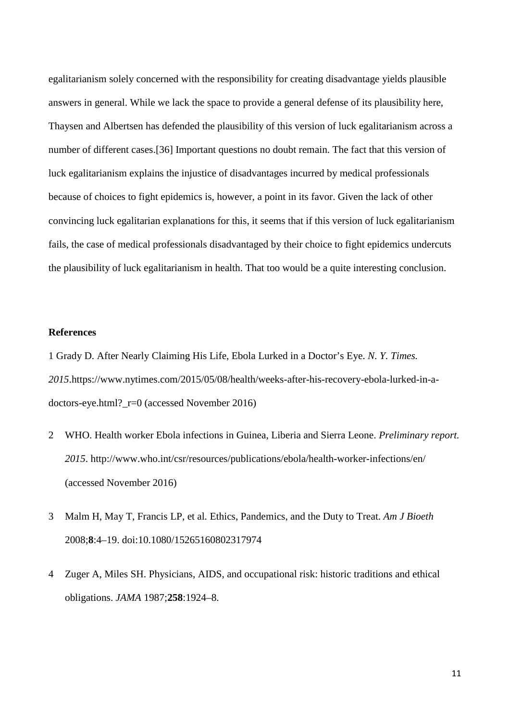egalitarianism solely concerned with the responsibility for creating disadvantage yields plausible answers in general. While we lack the space to provide a general defense of its plausibility here, Thaysen and Albertsen has defended the plausibility of this version of luck egalitarianism across a number of different cases.[36] Important questions no doubt remain. The fact that this version of luck egalitarianism explains the injustice of disadvantages incurred by medical professionals because of choices to fight epidemics is, however, a point in its favor. Given the lack of other convincing luck egalitarian explanations for this, it seems that if this version of luck egalitarianism fails, the case of medical professionals disadvantaged by their choice to fight epidemics undercuts the plausibility of luck egalitarianism in health. That too would be a quite interesting conclusion.

# **References**

1 Grady D. After Nearly Claiming His Life, Ebola Lurked in a Doctor's Eye. *N. Y. Times. 2015*.https://www.nytimes.com/2015/05/08/health/weeks-after-his-recovery-ebola-lurked-in-adoctors-eye.html?\_r=0 (accessed November 2016)

- 2 WHO. Health worker Ebola infections in Guinea, Liberia and Sierra Leone. *Preliminary report. 2015*. http://www.who.int/csr/resources/publications/ebola/health-worker-infections/en/ (accessed November 2016)
- 3 Malm H, May T, Francis LP, et al*.* Ethics, Pandemics, and the Duty to Treat. *Am J Bioeth* 2008;**8**:4–19. doi:10.1080/15265160802317974
- 4 Zuger A, Miles SH. Physicians, AIDS, and occupational risk: historic traditions and ethical obligations. *JAMA* 1987;**258**:1924–8.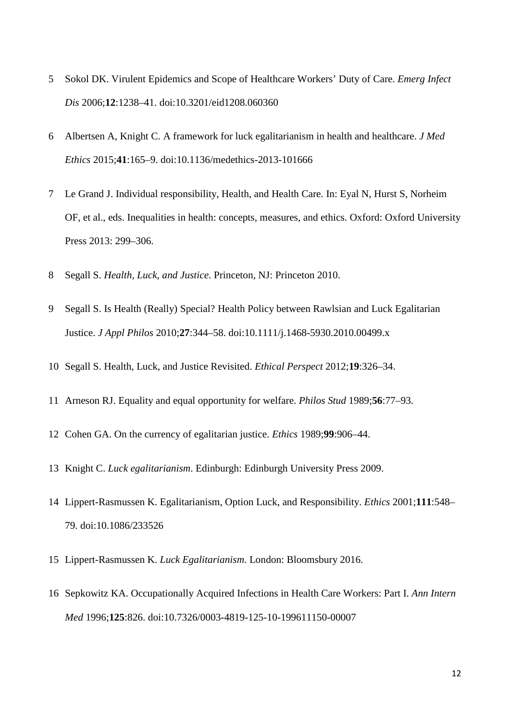- 5 Sokol DK. Virulent Epidemics and Scope of Healthcare Workers' Duty of Care. *Emerg Infect Dis* 2006;**12**:1238–41. doi:10.3201/eid1208.060360
- 6 Albertsen A, Knight C. A framework for luck egalitarianism in health and healthcare. *J Med Ethics* 2015;**41**:165–9. doi:10.1136/medethics-2013-101666
- 7 Le Grand J. Individual responsibility, Health, and Health Care. In: Eyal N, Hurst S, Norheim OF, et al., eds. Inequalities in health: concepts, measures, and ethics. Oxford: Oxford University Press 2013: 299–306.
- 8 Segall S. *Health, Luck, and Justice*. Princeton, NJ: Princeton 2010.
- 9 Segall S. Is Health (Really) Special? Health Policy between Rawlsian and Luck Egalitarian Justice. *J Appl Philos* 2010;**27**:344–58. doi:10.1111/j.1468-5930.2010.00499.x
- 10 Segall S. Health, Luck, and Justice Revisited. *Ethical Perspect* 2012;**19**:326–34.
- 11 Arneson RJ. Equality and equal opportunity for welfare. *Philos Stud* 1989;**56**:77–93.
- 12 Cohen GA. On the currency of egalitarian justice. *Ethics* 1989;**99**:906–44.
- 13 Knight C. *Luck egalitarianism*. Edinburgh: Edinburgh University Press 2009.
- 14 Lippert-Rasmussen K. Egalitarianism, Option Luck, and Responsibility. *Ethics* 2001;**111**:548– 79. doi:10.1086/233526
- 15 Lippert-Rasmussen K. *Luck Egalitarianism*. London: Bloomsbury 2016.
- 16 Sepkowitz KA. Occupationally Acquired Infections in Health Care Workers: Part I. *Ann Intern Med* 1996;**125**:826. doi:10.7326/0003-4819-125-10-199611150-00007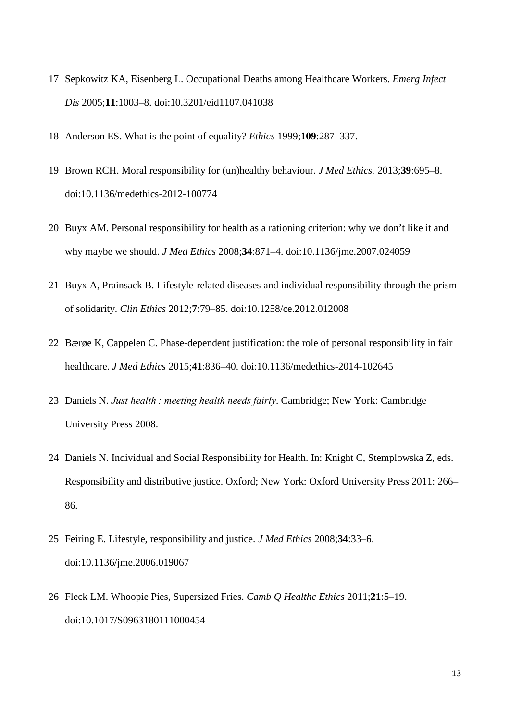- 17 Sepkowitz KA, Eisenberg L. Occupational Deaths among Healthcare Workers. *Emerg Infect Dis* 2005;**11**:1003–8. doi:10.3201/eid1107.041038
- 18 Anderson ES. What is the point of equality? *Ethics* 1999;**109**:287–337.
- 19 Brown RCH. Moral responsibility for (un)healthy behaviour. *J Med Ethics.* 2013;**39**:695–8. doi:10.1136/medethics-2012-100774
- 20 Buyx AM. Personal responsibility for health as a rationing criterion: why we don't like it and why maybe we should. *J Med Ethics* 2008;**34**:871–4. doi:10.1136/jme.2007.024059
- 21 Buyx A, Prainsack B. Lifestyle-related diseases and individual responsibility through the prism of solidarity. *Clin Ethics* 2012;**7**:79–85. doi:10.1258/ce.2012.012008
- 22 Bærøe K, Cappelen C. Phase-dependent justification: the role of personal responsibility in fair healthcare. *J Med Ethics* 2015;**41**:836–40. doi:10.1136/medethics-2014-102645
- 23 Daniels N. *Just health : meeting health needs fairly*. Cambridge; New York: Cambridge University Press 2008.
- 24 Daniels N. Individual and Social Responsibility for Health. In: Knight C, Stemplowska Z, eds. Responsibility and distributive justice. Oxford; New York: Oxford University Press 2011: 266– 86.
- 25 Feiring E. Lifestyle, responsibility and justice. *J Med Ethics* 2008;**34**:33–6. doi:10.1136/jme.2006.019067
- 26 Fleck LM. Whoopie Pies, Supersized Fries. *Camb Q Healthc Ethics* 2011;**21**:5–19. doi:10.1017/S0963180111000454